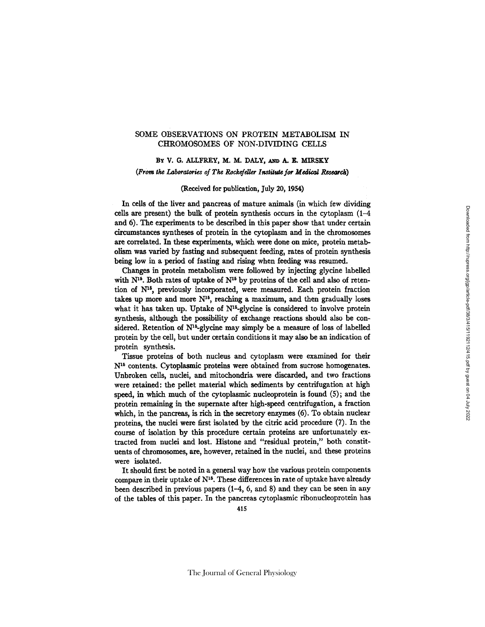## SOME OBSERVATIONS ON PROTEIN METABOLISM IN CHROMOSOMES OF NON-DIVIDING CELLS

# BY V. G. ALLFREY, M. M. DALY, AND A. E. MIRSKY (From the Laboratories of The Rockefeller Institute for Medical Research)

## (Received for publication, July 20, 1954)

In ceils of the liver and pancreas of mature animals (in which few dividing cells are present) the bulk of protein synthesis occurs in the cytoplasm (1-4 and 6). The experiments to be described in this paper show that under certain circumstances syntheses of protein in the cytoplasm and in the chromosomes are correlated. In these experiments, which were done on mice, protein metabolism was varied by fasting and subsequent feeding, rates of protein synthesis being low in a period of fasting and rising when feeding was resumed.

Changes in protein metabolism were followed by injecting glycine labelled with  $N^{15}$ . Both rates of uptake of  $N^{15}$  by proteins of the cell and also of retention of  $N^{15}$ , previously incorporated, were measured. Each protein fraction takes up more and more  $N^{15}$ , reaching a maximum, and then gradually loses what it has taken up. Uptake of  $N^{15}$ -glycine is considered to involve protein synthesis, although the possibility of exchange reactions should also be considered. Retention of  $N^{16}$ -glycine may simply be a measure of loss of labelled protein by the cell, but under certain conditions it may also be an indication of protein synthesis.

Tissue proteins of both nucleus and cytoplasm were examined for their N<sup>15</sup> contents. Cytoplasmic proteins were obtained from sucrose homogenates. Unbroken cells, nuclei, and mitochondria were discarded, and two fractions were retained: the pellet material which sediments by centrifugation at high speed, in which much of the cytoplasmic nucleoprotein is found (5); and the protein remaining in the supemate after high-speed centrifugation, a fraction which, in the pancreas, is rich in the secretory enzymes (6). To obtain nuclear proteins, the nuclei were first isolated by the citric acid procedure (7). In the course of isolation by this procedure certain proteins are unfortunately extracted from nuclei and lost. Histone and "residual protein," both constituents of chromosomes, are, however, retained in the nuclei, and these proteins were isolated.

It should first be noted in a general way how the various protein components compare in their uptake of  $N^{15}$ . These differences in rate of uptake have already been described in previous papers (I-4, 6, and 8) and they can be seen in any of the tables of this paper. In the pancreas cytoplasmic ribonucleoprotein has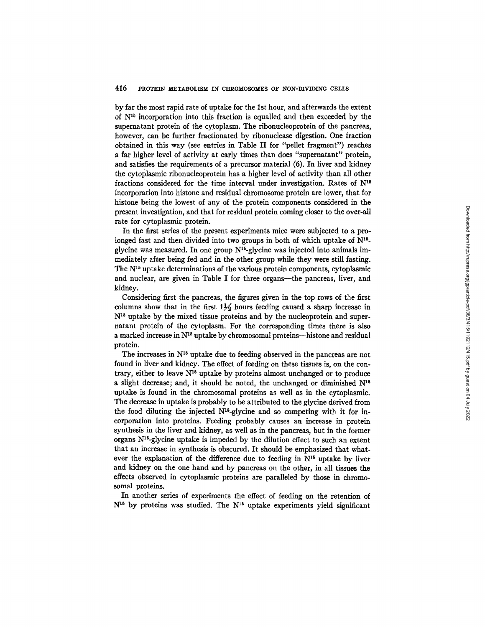by far the most rapid rate of uptake for the 1st hour, and afterwards the extent of  $N^{15}$  incorporation into this fraction is equalled and then exceeded by the supernatant protein of the cytoplasm. The ribonucleoprotein of the pancreas, however, can be further fractionated by ribonuclease digestion. One fraction obtained in this way (see entries in Table II for "pellet fragment") reaches a far higher level of activity at early times than does "supernatant" protein, and satisfies the requirements of a precursor material (6). In liver and kidney the cytoplasmic ribonucleoprotein has a higher level of activity than all other fractions considered for the time interval under investigation. Rates of  $N^{15}$ incorporation into histone and residual chromosome protein are lower, that for histone being the lowest of any of the protein components considered in the present investigation, and that for residual protein coming closer to the over-all rate for cytoplasmic protein.

In the first series of the present experiments mice were subjected to a prolonged fast and then divided into two groups in both of which uptake of  $N^{15}$ glycine was measured. In one group  $N^{15}$ -glycine was injected into animals immediately after being fed and in the other group while they were still fasting. The  $N^{15}$  uptake determinations of the various protein components, cytoplasmic and nuclear, are given in Table I for three organs--the pancreas, liver, and kidney.

Considering first the pancreas, the figures given in the top rows of the first columns show that in the first  $1\frac{1}{2}$  hours feeding caused a sharp increase in  $N^{16}$  uptake by the mixed tissue proteins and by the nucleoprotein and supernatant protein of the cytoplasm. For the corresponding times there is also a marked increase in  $N^{15}$  uptake by chromosomal proteins--histone and residual protein.

The increases in  $N^{15}$  uptake due to feeding observed in the pancreas are not found in liver and kidney. The effect of feeding on these tissues is, on the contrary, either to leave  $N^{15}$  uptake by proteins almost unchanged or to produce a slight decrease; and, it should be noted, the unchanged or diminished  $N^{16}$ uptake is found in the chromosomal proteins as well as in the cytoplasmic. The decrease in uptake is probably to be attributed to the glycine derived from the food diluting the injected  $N^{16}$ -glycine and so competing with it for incorporation into proteins. Feeding probably causes an increase in protein synthesis in the liver and kidney, as well as in the pancreas, but in the former organs N15-glycine uptake is impeded by the dilution effect to such an extent that an increase in synthesis is obscured. It should be emphasized that whatever the explanation of the difference due to feeding in  $N<sup>15</sup>$  uptake by liver and kidney on the one hand and by pancreas on the other, in all tissues the effects observed in cytoplasmic proteins are paralleled by those in chromosomal proteins.

In another series of experiments the effect of feeding on the retention of  $N^{16}$  by proteins was studied. The  $N^{16}$  uptake experiments yield significant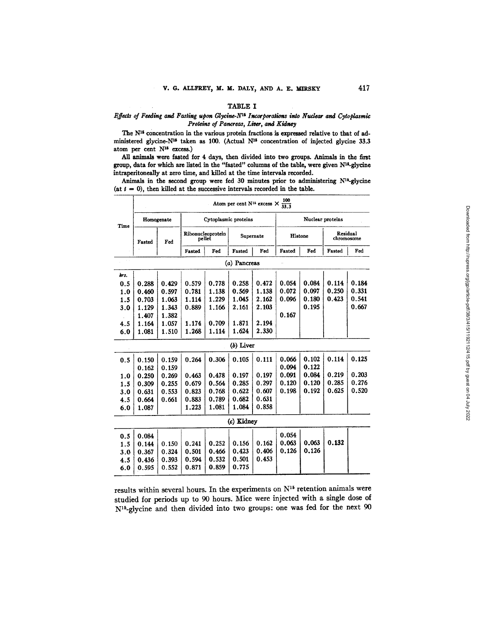## TABLE I

#### *Effects of Feeding and Fasting upon Glycine-N<sup>15</sup> Incorporations into Nuclear and Cytoplasmic Proteins of Pancreas, Liver, and Kidney*

The N<sup>15</sup> concentration in the various protein fractions is expressed relative to that of administered glycine-N<sup>16</sup> taken as 100. (Actual N<sup>16</sup> concentration of injected glycine 33.3 atom per cent  $N^{15}$  excess.)

All animals were fasted for  $4$  days, then divided into two groups. Animals in the first group, data for which are listed in the "fasted" columns of the table, were given N<sup>15</sup>-glycine intraperitoneally at zero time, and killed at the time intervals recorded.

Animals in the second group were fed 30 minutes prior to administering  $N^{18}$ -glycine (at  $t = 0$ ), then killed at the successive intervals recorded in the table.

|      | $\frac{100}{33.3}$<br>Atom per cent N <sup>15</sup> excess X |       |                                          |       |              |       |                        |       |        |       |
|------|--------------------------------------------------------------|-------|------------------------------------------|-------|--------------|-------|------------------------|-------|--------|-------|
| Time | Homogenate                                                   |       | Cytoplasmic proteins                     |       |              |       | Nuclear proteins       |       |        |       |
|      | Fasted                                                       | Fed   | Ribonucleoprotein<br>Supernate<br>pellet |       | Histone      |       | Residual<br>chromosome |       |        |       |
|      |                                                              |       | Fasted                                   | Fed   | Fasted       | Fed   | Fasted                 | Fed   | Fasted | Fed   |
|      |                                                              |       |                                          |       | (a) Pancreas |       |                        |       |        |       |
| hrs. |                                                              |       |                                          |       |              |       |                        |       |        |       |
| 0.5  | 0.288                                                        | 0.429 | 0.579                                    | 0.778 | 0.258        | 0.472 | 0.054                  | 0.084 | 0.114  | 0.184 |
| 1.0  | 0.460                                                        | 0.597 | 0.781                                    | 1.138 | 0.569        | 1.138 | 0.072                  | 0.097 | 0.250  | 0.331 |
| 1.5  | 0.703                                                        | 1.063 | 1.114                                    | 1.229 | 1.045        | 2.162 | 0.096                  | 0.180 | 0.423  | 0.541 |
| 3.0  | 1.129                                                        | 1.343 | 0.889                                    | 1.166 | 2.161        | 2.103 |                        | 0.195 |        | 0.667 |
|      | 1.407                                                        | 1.382 |                                          |       |              |       | 0.167                  |       |        |       |
| 4.5  | 1.164                                                        | 1.057 | 1.174                                    | 0.709 | 1.871        | 2.194 |                        |       |        |       |
| 6.0  | 1.081                                                        | 1.510 | 1.268                                    | 1.114 | 1.624        | 2.330 |                        |       |        |       |
|      |                                                              |       |                                          |       | $(b)$ Liver  |       |                        |       |        |       |
| 0.5  | 0.150                                                        | 0.159 | 0.264                                    | 0.306 | 0.105        | 0.111 | 0.066                  | 0.102 | 0.114  | 0.125 |
|      | 0.162                                                        | 0.159 |                                          |       |              |       | 0.094                  | 0.122 |        |       |
| 1.0  | 0.250                                                        | 0.269 | 0.463                                    | 0.478 | 0.197        | 0.197 | 0.091                  | 0.084 | 0.219  | 0.203 |
| 1.5  | 0.309                                                        | 0.255 | 0.679                                    | 0.564 | 0.285        | 0.297 | 0.120                  | 0.120 | 0.285  | 0.276 |
| 3.0  | 0.631                                                        | 0.553 | 0.823                                    | 0.768 | 0.622        | 0.607 | 0.198                  | 0.192 | 0.625  | 0.520 |
| 4.5  | 0.664                                                        | 0.661 | 0.883                                    | 0.789 | 0.682        | 0.631 |                        |       |        |       |
| 6.0  | 1.087                                                        |       | 1.223                                    | 1.081 | 1.084        | 0.858 |                        |       |        |       |
|      |                                                              |       |                                          |       | (c) Kidney   |       |                        |       |        |       |
| 0.5  | 0.084                                                        |       |                                          |       |              |       | 0.054                  |       |        |       |
| 1.5  | 0.144                                                        | 0.150 | 0.241                                    | 0.252 | 0.156        | 0.162 | 0.063                  | 0.063 | 0.132  |       |
| 3.0  | 0.367                                                        | 0.324 | 0.501                                    | 0.466 | 0.423        | 0.406 | 0.126                  | 0.126 |        |       |
| 4.5  | 0.436                                                        | 0.393 | 0.594                                    | 0.532 | 0.501        | 0.453 |                        |       |        |       |
| 6.0  | 0.595                                                        | 0.552 | 0.871                                    | 0.859 | 0.775        |       |                        |       |        |       |

results within several hours. In the experiments on  $N^{15}$  retention animals were studied for periods up to 90 hours. Mice were injected with a single dose of WS-glycine and then divided into two groups: one was fed for the next 90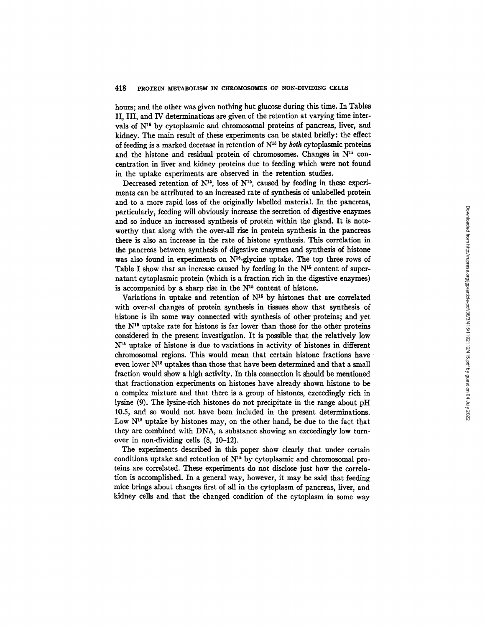hours; and the other was given nothing but glucose during this time. In Tables II, III, and IV determinations are given of the retention at varying time intervals of  $N^{15}$  by cytoplasmic and chromosomal proteins of pancreas, liver, and kidney. The main result of these experiments can be stated briefly: the effect of feeding is a marked decrease in retention of  $N^{16}$  by *both* cytoplasmic proteins and the histone and residual protein of chromosomes. Changes in  $N^{15}$  concentration in liver and kidney proteins due to feeding which were not found in the uptake experiments are observed in the retention studies.

Decreased retention of  $N^{15}$ , loss of  $N^{15}$ , caused by feeding in these experiments can be attributed to an increased rate of synthesis of unlabelled protein and to a more rapid loss of the originally labelled material. In the pancreas, particularly, feeding will obviously increase the secretion of digestive enzymes and so induce an increased synthesis of protein within the gland. It is noteworthy that along with the over-all rise in protein synthesis in the pancreas there is also an increase in the rate of histone synthesis. This correlation in the pancreas between synthesis of digestive enzymes and synthesis of histone was also found in experiments on  $N^{16}$ -glycine uptake. The top three rows of Table I show that an increase caused by feeding in the  $N<sup>15</sup>$  content of supernatant cytoplasmic protein (which is a fraction rich in the digestive enzymes) is accompanied by a sharp rise in the  $N<sup>16</sup>$  content of histone.

Variations in uptake and retention of  $N<sup>15</sup>$  by histones that are correlated with over-al changes of protein synthesis in tissues show that synthesis of histone is iln some way connected with synthesis of other proteins; and yet the  $N<sup>15</sup>$  uptake rate for histone is far lower than those for the other proteins considered in the present investigation. It is possible that the relatively low  $N<sup>15</sup>$  uptake of histone is due to variations in activity of histones in different chromosomal regions. This would mean that certain histone fractions have even lower  $N^{15}$  uptakes than those that have been determined and that a small fraction would show a high activity. In this connection it should be mentioned that fractionation experiments on histones have already shown histone to be a complex mixture and that there is a group of histones, exceedingly rich in lysine (9). The lysine-rich histones do not precipitate in the range about pH 10.5, and so would not have been included in the present determinations. Low  $N<sup>15</sup>$  uptake by histones may, on the other hand, be due to the fact that they are combined with DNA, a substance showing an exceedingly low turnover in non-dividing cells (8, 10-12).

The experiments described in this paper show clearly that under certain conditions uptake and retention of  $N^{15}$  by cytoplasmic and chromosomal proteins are correlated. These experiments do not disclose just how the correlation is accomplished. In a general way, however, it may be said that feeding mice brings about changes first of all in the cytoplasm of pancreas, liver, and kidney cells and that the changed condition of the cytoplasm in some way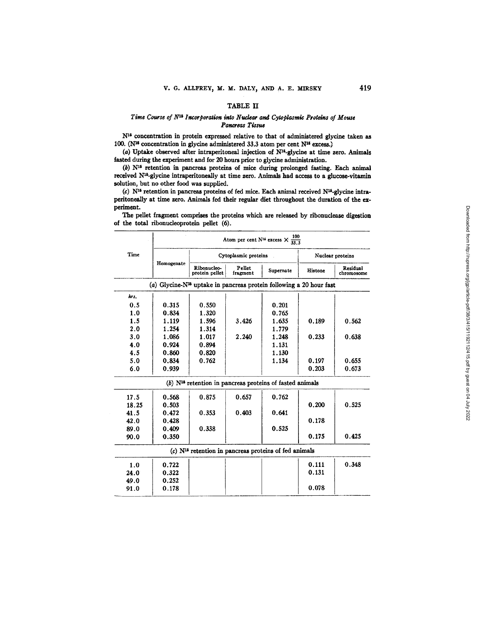## TABLE II

## *Time Course of N<sup>15</sup> Incorporation into Nuclear and Cytoplasmic Proteins of Mouse Pancreas Tissue*

N<sup>16</sup> concentration in protein expressed relative to that of administered glycine taken as 100. ( $N^{15}$  concentration in glycine administered 33.3 atom per cent  $N^{15}$  excess.)

(a) Uptake observed after intraperitoneal injection of  $N^{15}$ -glycine at time zero. Animals fasted during the experiment and for 20 hours prior to glycine administration.

(b)  $N^{16}$  retention in pancreas proteins of mice during prolonged fasting. Each animal received  $N^{15}$ -glycine intraperitoneally at time zero. Animals had access to a glucose-vitamin solution, but no other food was supplied.

(c)  $N^{16}$  retention in pancreas proteins of fed mice. Each animal received  $N^{16}$ -glycine intraperitoneally at time zero. Animals fed their regular diet throughout the duration of the experiment.

|       | Atom per cent N <sup>16</sup> excess $\times \frac{100}{33.3}$ |                                                                        |                      |                  |         |                        |  |  |  |
|-------|----------------------------------------------------------------|------------------------------------------------------------------------|----------------------|------------------|---------|------------------------|--|--|--|
| Time  |                                                                |                                                                        | Cytoplasmic proteins | Nuclear proteins |         |                        |  |  |  |
|       | Homogenate                                                     | Ribonucleo-<br>protein pellet                                          | Pellet<br>fragment   | Supernate        | Histone | Residual<br>chromosome |  |  |  |
|       |                                                                | (a) Glycine- $N15$ uptake in pancreas protein following a 20 hour fast |                      |                  |         |                        |  |  |  |
| hrs.  |                                                                |                                                                        |                      |                  |         |                        |  |  |  |
| 0.5   | 0.315                                                          | 0.550                                                                  |                      | 0.201            |         |                        |  |  |  |
| 1.0   | 0.834                                                          | 1.320                                                                  |                      | 0.765            |         |                        |  |  |  |
| 1.5   | 1.119                                                          | 1.596                                                                  | 3.426                | 1.635            | 0.189   | 0.562                  |  |  |  |
| 2.0   | 1.254                                                          | 1.314                                                                  |                      | 1.779            |         |                        |  |  |  |
| 3.0   | 1.086                                                          | 1.017                                                                  | 2.240                | 1.248            | 0.233   | 0.638                  |  |  |  |
| 4.0   | 0.924                                                          | 0.894                                                                  |                      | 1.131            |         |                        |  |  |  |
| 4.5   | 0.860                                                          | 0.820                                                                  |                      | 1.130            |         |                        |  |  |  |
| 5.0   | 0.834                                                          | 0.762                                                                  |                      | 1.134            | 0.197   | 0.655                  |  |  |  |
| 6.0   | 0.939                                                          |                                                                        |                      |                  | 0.203   | 0.673                  |  |  |  |
|       |                                                                | $(b)$ N <sup>15</sup> retention in pancreas proteins of fasted animals |                      |                  |         |                        |  |  |  |
| 17.5  | 0.568                                                          | 0.875                                                                  | 0.657                | 0.762            |         |                        |  |  |  |
| 18.25 | 0.503                                                          |                                                                        |                      |                  | 0.200   | 0.525                  |  |  |  |
| 41.5  | 0.472                                                          | 0.353                                                                  | 0.403                | 0.641            |         |                        |  |  |  |
| 42.0  | 0.428                                                          |                                                                        |                      |                  | 0.178   |                        |  |  |  |
| 89.0  | 0.409                                                          | 0.338                                                                  |                      | 0.525            |         |                        |  |  |  |
| 90.0  | 0.350                                                          |                                                                        |                      |                  | 0.175   | 0.425                  |  |  |  |
|       |                                                                | $(c)$ N <sup>15</sup> retention in pancreas proteins of fed animals    |                      |                  |         |                        |  |  |  |
| 1.0   | 0.722                                                          |                                                                        |                      |                  | 0.111   | 0.348                  |  |  |  |
| 24.0  | 0.322                                                          |                                                                        |                      |                  | 0.131   |                        |  |  |  |
| 49.0  | 0.252                                                          |                                                                        |                      |                  |         |                        |  |  |  |
| 91.0  | 0.178                                                          |                                                                        |                      |                  | 0.078   |                        |  |  |  |

The pellet fragment comprises the proteins which are released by ribonuclease digestion of the total ribonucleoprotein pellet (6).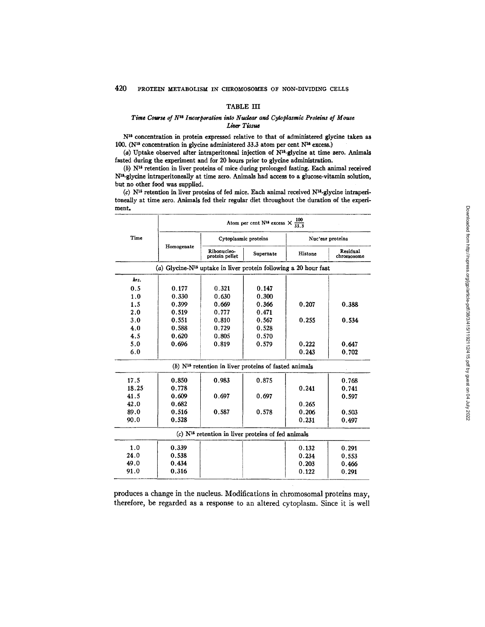## TABLE III

## *Time Course of N<sup>15</sup> Incorporation into Nuclear and Cytoplasmic Proteins of Mouse Li~er Tissue*

N<sup>16</sup> concentration in protein expressed relative to that of administered glycine taken as 100. (N<sup>15</sup> concentration in glycine administered 33.3 atom per cent N<sup>15</sup> excess.)

 $(a)$  Uptake observed after intraperitoneal injection of  $N^{15}$ -glycine at time zero. Animals fasted during the experiment and for 20 hours prior to glyeine administration.

(b) Nli retention in liver proteins of mice during prolonged fasting. Each animal received N<sup>15</sup>-glycine intraperitoneally at time zero. Animals had access to a glucose-vitamin solution, but no other food was supplied.

(c)  $N^{15}$  retention in liver proteins of fed mice. Each animal received  $N^{15}$ -glycine intraperitoneally at time zero. Animals fed their regular diet throughout the duration of the experiment,

|       | $\frac{100}{33.3}$<br>Atom per cent N <sup>15</sup> excess X |                                                                        |           |                  |                        |  |  |  |
|-------|--------------------------------------------------------------|------------------------------------------------------------------------|-----------|------------------|------------------------|--|--|--|
| Time  |                                                              | Cytoplasmic proteins                                                   |           | Nuc'ear proteins |                        |  |  |  |
|       | Homogenate                                                   | Ribonucleo-<br>protein pellet                                          | Supernate | Histone          | Residual<br>chromosome |  |  |  |
|       |                                                              | (a) Glycine- $N^{15}$ uptake in liver protein following a 20 hour fast |           |                  |                        |  |  |  |
| hrs.  |                                                              |                                                                        |           |                  |                        |  |  |  |
| 0.5   | 0.177                                                        | 0.321                                                                  | 0.147     |                  |                        |  |  |  |
| 1.0   | 0.330                                                        | 0.630                                                                  | 0.300     |                  |                        |  |  |  |
| 1.5   | 0.399                                                        | 0.669                                                                  | 0.366     | 0.207            | 0.388                  |  |  |  |
| 2.0   | 0.519                                                        | 0.777                                                                  | 0.471     |                  |                        |  |  |  |
| 3.0   | 0.551                                                        | 0.810                                                                  | 0.567     | 0.255            | 0.534                  |  |  |  |
| 4.0   | 0.588                                                        | 0.729                                                                  | 0.528     |                  |                        |  |  |  |
| 4.5   | 0.620                                                        | 0.805                                                                  | 0.570     |                  |                        |  |  |  |
| 5.0   | 0.696                                                        | 0.819                                                                  | 0.579     | 0.222            | 0.647                  |  |  |  |
| 6.0   |                                                              |                                                                        |           | 0.243            | 0.702                  |  |  |  |
|       |                                                              | $(b)$ N <sup>15</sup> retention in liver proteins of fasted animals    |           |                  |                        |  |  |  |
| 17.5  | 0.850                                                        | 0.983                                                                  | 0.875     |                  | 0.768                  |  |  |  |
| 18.25 | 0.778                                                        |                                                                        |           | 0.241            | 0.741                  |  |  |  |
| 41.5  | 0.609                                                        | 0.697                                                                  | 0.697     |                  | 0.597                  |  |  |  |
| 42.0  | 0.682                                                        |                                                                        |           | 0.265            |                        |  |  |  |
| 89.0  | 0.516                                                        | 0.587                                                                  | 0.578     | 0.206            | 0.503                  |  |  |  |
| 90.0  | 0.528                                                        |                                                                        |           | 0.231            | 0.497                  |  |  |  |
|       |                                                              | $(c)$ N <sup>15</sup> retention in liver proteins of fed animals       |           |                  |                        |  |  |  |
| 1.0   | 0.339                                                        |                                                                        |           | 0.132            | 0.291                  |  |  |  |
| 24.0  | 0.538                                                        |                                                                        |           | 0.234            | 0.553                  |  |  |  |
| 49.0  | 0.434                                                        |                                                                        |           | 0.203            | 0.466                  |  |  |  |
| 91.0  | 0.316                                                        |                                                                        |           | 0.122            | 0.291                  |  |  |  |

produces a change in the nucleus. Modifications in chromosomal proteins may, therefore, be regarded as a response to an altered cytoplasm. Since it is well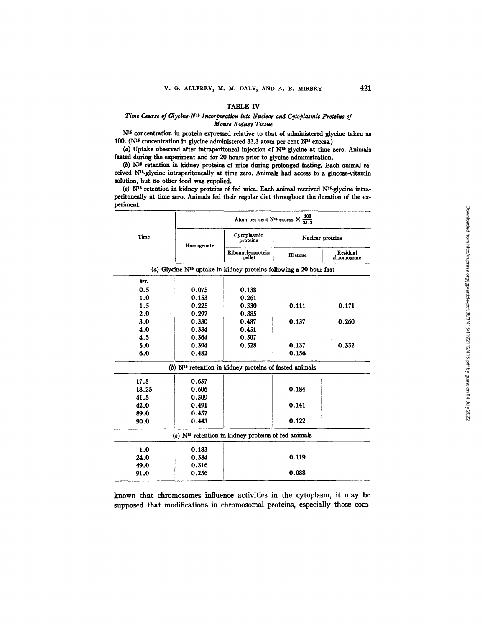#### TABLE IV

#### *Time Course of Glycine-N<sup>15</sup> Incorporation into Nuclear and Cytoplasmic Proteins of Mouse Kidney Tissue*

N<sup>15</sup> concentration in protein expressed relative to that of administered glycine taken as 100. (N<sup>16</sup> concentration in glycine administered 33.3 atom per cent N<sup>16</sup> excess.)

(a) Uptake observed after intraperitoneal injection of  $N^{14}$ -glycine at time zero. Animals fasted during the experiment and for 20 hours prior to glycine administration.

 $(b)$  N<sup>15</sup> retention in kidney proteins of mice during prolonged fasting. Each animal received N<sup>15</sup>-glycine intraperitoneally at time zero. Animals had access to a glucose-vitamin solution, but no other food was supplied.

(c)  $N^{15}$  retention in kidney proteins of fed mice. Each animal received  $N^{15}$ -glycine intraperitoneally at time zero. Animals fed their regular diet throughout the duration of the experiment.

|       | Atom per cent N <sup>16</sup> excess $\times \frac{100}{33.3}$ |                                                                                |                  |                        |  |  |  |
|-------|----------------------------------------------------------------|--------------------------------------------------------------------------------|------------------|------------------------|--|--|--|
| Time  | Homogenate                                                     | Cytoplasmic<br>proteins                                                        | Nuclear proteins |                        |  |  |  |
|       |                                                                | Ribonucleoprotein<br>pellet                                                    | Histone          | Residual<br>chromosome |  |  |  |
|       |                                                                | (a) Glycine-N <sup>15</sup> uptake in kidney proteins following a 20 hour fast |                  |                        |  |  |  |
| hrs.  |                                                                |                                                                                |                  |                        |  |  |  |
| 0.5   | 0.075                                                          | 0.138                                                                          |                  |                        |  |  |  |
| 1.0   | 0.153                                                          | 0.261                                                                          |                  |                        |  |  |  |
| 1.5   | 0.225                                                          | 0.330                                                                          | 0.111            | 0.171                  |  |  |  |
| 2.0   | 0.297                                                          | 0.385                                                                          |                  |                        |  |  |  |
| 3.0   | 0.330                                                          | 0.487                                                                          | 0.137            | 0.260                  |  |  |  |
| 4.0   | 0.334                                                          | 0.451                                                                          |                  |                        |  |  |  |
| 4.5   | 0.364                                                          | 0.507                                                                          |                  |                        |  |  |  |
| 5.0   | 0.394                                                          | 0.528                                                                          | 0.137            | 0.332                  |  |  |  |
| 6.0   | 0.482                                                          |                                                                                | 0.156            |                        |  |  |  |
|       |                                                                | $(b)$ N <sup>15</sup> retention in kidney proteins of fasted animals           |                  |                        |  |  |  |
| 17.5  | 0.657                                                          |                                                                                |                  |                        |  |  |  |
| 18.25 | 0.606                                                          |                                                                                | 0.184            |                        |  |  |  |
| 41.5  | 0.509                                                          |                                                                                |                  |                        |  |  |  |
| 42.0  | 0.491                                                          |                                                                                | 0.141            |                        |  |  |  |
| 89.0  | 0.457                                                          |                                                                                |                  |                        |  |  |  |
| 90.0  | 0.443                                                          |                                                                                | 0.122            |                        |  |  |  |
|       |                                                                | (c) N <sup>15</sup> retention in kidney proteins of fed animals                |                  |                        |  |  |  |
| 1.0   | 0.183                                                          |                                                                                |                  |                        |  |  |  |
| 24.0  | 0.384                                                          |                                                                                | 0.119            |                        |  |  |  |
| 49.0  | 0.316                                                          |                                                                                |                  |                        |  |  |  |
| 91.0  | 0.256                                                          |                                                                                | 0.088            |                        |  |  |  |

known that chromosomes influence activities in the cytoplasm, it may be supposed that modifications in chromosomal proteins, especially those com-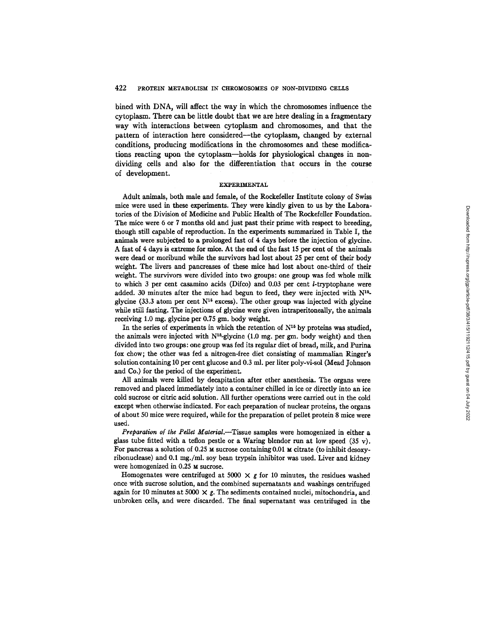bined with DNA, will affect the way in which the chromosomes influence the cytoplasm. There can be little doubt that we are here dealing in a fragmentary way with interactions between cytoplasm and chromosomes, and that the pattern of interaction here considered--the cytoplasm, changed by external conditions, producing modifications in the chromosomes and these modifications reacting upon the cytoplasm--holds for physiological changes in nondividing cells and also for the differentiation that occurs in the course of development.

#### EXPERIMENTAL

Adult animals, both male and female, of the Rockefeller Institute colony of Swiss mice were used in these experiments. They were kindly given to us by the Laboratories of the Division of Medicine and Public Health of The Rockefeller Foundation. The mice were 6 or 7 months old and just past their prime with respect to breeding, though still capable of reproduction. In the experiments summarized in Table I, the animals were subjected to a prolonged fast of 4 days before the injection of glycine. A fast of 4 days is extreme for mice. At the end of the fast 15 per cent of the animals mere dead or moribund while the survivors had lost about 25 per cent of their body weight. The livers and pancreases of these mice had lost about one-third of their weight. The survivors were divided into two groups: one group was fed whole milk to which 3 per cent casamino acids (Difco) and  $0.03$  per cent *l*-tryptophane were added. 30 minutes after the mice had begun to feed, they were injected with  $N^{16}$ glycine (33.3 atom per cent  $N^{16}$  excess). The other group was injected with glycine while still fasting. The injections of glycine were given intraperitoneally, the animals receiving 1.0 mg. glycine per 0.75 gm. body weight.

In the series of experiments in which the retention of  $N^{15}$  by proteins was studied, the animals were injected with  $N^{16}$ -glycine (1.0 mg. per gm. body weight) and then divided into two groups: one group was fed its regular diet of bread, milk, and Purina fox chow; the other was fed a nitrogen-free diet consisting of mammalian Ringer's solution containing 10 per cent glucose and 0.3 ml. per liter poly-vi-sol (Mead Johnson and Co.) for the period of the experiment.

All animals were killed by decapitation after ether anesthesia. The organs were removed and placed immediately into a container chilled in ice or directly into an ice cold sucrose or citric acid solution. All further operations were carried out in the cold except when otherwise indicated. For each preparation of nuclear proteins, the organs of about 50 mice were required, while for the preparation of pellet protein 8 mice were used.

Preparation of the Pellet Material.--Tissue samples were homogenized in either a glass tube fitted with a teflon pestle or a Waring blendor run at low speed  $(35 \text{ y})$ . For pancreas a solution of 0.25  $\text{M}$  sucrose containing 0.01  $\text{M}$  citrate (to inhibit desoxyribonuclease) and 0.1 mg./ml, soy bean trypsin inhibitor was used. Liver and kidney were homogenized in 0.25 M sucrose.

Homogenates were centrifuged at 5000  $\times$  g for 10 minutes, the residues washed once with sucrose solution, and the combined supematants and washings centrifuged again for 10 minutes at 5000  $\times$  g. The sediments contained nuclei, mitochondria, and unbroken cells, and were discarded. The final supematant was centrifuged in the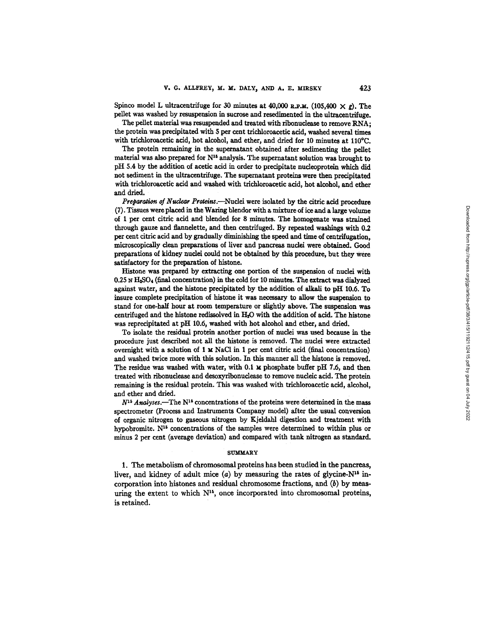Spinco model L ultracentrifuge for 30 minutes at 40,000 R.P.M. (105,400  $\times g$ ). The pellet was washed by resuspension in sucrose and resedimented in the ultracentrifuge.

The pellet material was resuspended and treated with ribonuclease to remove RNA; the protein was precipitated with 5 per cent trichloroacetic acid, washed several times with trichloroacetic acid, hot alcohol, and ether, and dried for 10 minutes at 110°C.

The protein remaining in the supernatant obtained after sedimenting the pellet material was also prepared for  $N^{16}$  analysis. The supernatant solution was brought to pH 5.4 by the addition of acetic acid in order to precipitate nudeoprotein which did not sediment in the ultracentrifuge. The supernatant proteins were then precipitated with trichloroacetic acid and washed with trichloroacetic acid, hot alcohol, and ether and dried.

*Preparation of Nuclear Proteins.*---Nuclei were isolated by the citric acid procedure (7). Tissues were placed in the Waring blendor with a mixture of ice and a large volume of 1 per cent citric acid and blended for 8 minutes. The homogenate was strained through gauze and flanndette, and then centrifuged. By repeated washings with 0.2 per cent citric acid and by gradually diminishing the speed and time of centrifugation, microscopically dean preparations of liver and pancreas nuclei were obtained. Good preparations of kidney nuclei could not be obtained by this procedure, but they were satisfactory for the preparation of histone.

Histone was prepared by extracting one portion of the suspension of nuclei with  $0.25 \text{ N H}_2\text{SO}_4$  (final concentration) in the cold for 10 minutes. The extract was dialyzed against water, and the histone precipitated by the addition of alkali to pH 10,6. To insure complete precipitation of histone it was necessary to allow the suspension to stand for one-half hour at room temperature or slightly above. The suspension was centrifuged and the histone redissolved in HzO with the addition of acid. The histone was reprecipitated at pH 10.6, washed with hot alcohol and ether, and dried.

To isolate the residual protein another portion of nuclei was used because in the procedure just described not all the histone is removed. The nuclei were extracted overnight with a solution of 1 M NaCI in 1 per cent citric acid (final concentration) and washed twice more with this solution. In this manner all the histone is removed. The residue was washed with water, with 0.1 **x** phosphate buffer pH 7.6, and then treated with ribonudease and desoxyribonudease to remove nucleic acid. The protein remsining is the residual protein. This was washed with trichloroacetic acid, alcohol, and ether and dried.

 $N^{15}$  Analyses.--The N<sup>15</sup> concentrations of the proteins were determined in the mass spectrometer (Process and Instruments Company model) after the usual conversion of organic nitrogen to gaseous nitrogen by Kjeldahl digestion and treatment with hypobromite.  $N^{15}$  concentrations of the samples were determined to within plus or minus 2 per cent (average deviation) and compared with tank nitrogen as standard.

## $SUMMARY$

1. The metabolism of chromosomal proteins has been studied in the pancreas, liver, and kidney of adult mice  $(a)$  by measuring the rates of glycine- $N^{16}$  incorporation into histones and residual chromosome fractions, and (b) by measuring the extent to which  $N^{15}$ , once incorporated into chromosomal proteins, is retained.